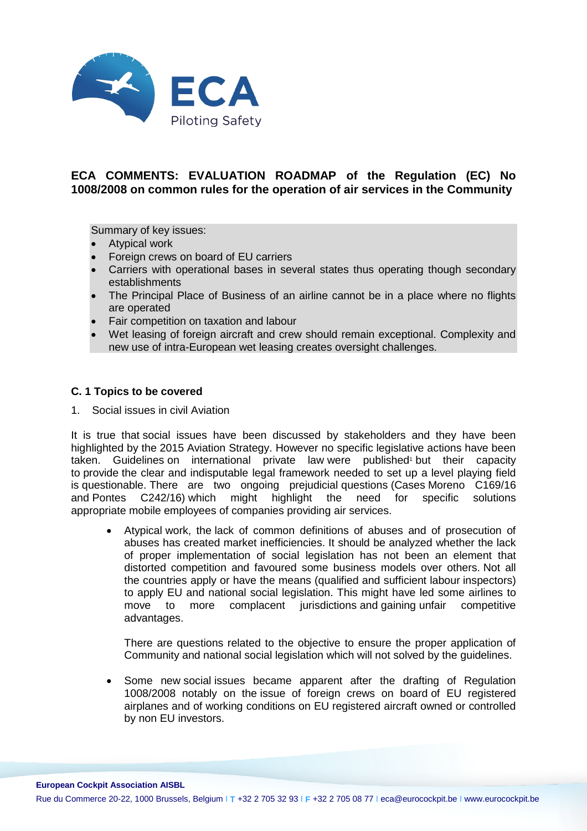

# **ECA COMMENTS: EVALUATION ROADMAP of the Regulation (EC) No 1008/2008 on common rules for the operation of air services in the Community**

Summary of key issues:

- Atypical work
- Foreign crews on board of EU carriers
- Carriers with operational bases in several states thus operating though secondary establishments
- The Principal Place of Business of an airline cannot be in a place where no flights are operated
- Fair competition on taxation and labour
- Wet leasing of foreign aircraft and crew should remain exceptional. Complexity and new use of intra-European wet leasing creates oversight challenges.

## **C. 1 Topics to be covered**

1. Social issues in civil Aviation

It is true that social issues have been discussed by stakeholders and they have been highlighted by the 2015 Aviation Strategy. However no specific legislative actions have been taken. Guidelines on international private law were published<sup>1</sup> but their capacity to provide the clear and indisputable legal framework needed to set up a level playing field is questionable. There are two ongoing prejudicial questions (Cases Moreno C169/16 and Pontes C242/16) which might highlight the need for specific solutions and Pontes  $C<sub>242/16</sub>$  which might highlight the need for appropriate mobile employees of companies providing air services.

• Atypical work, the lack of common definitions of abuses and of prosecution of abuses has created market inefficiencies. It should be analyzed whether the lack of proper implementation of social legislation has not been an element that distorted competition and favoured some business models over others. Not all the countries apply or have the means (qualified and sufficient labour inspectors) to apply EU and national social legislation. This might have led some airlines to move to more complacent jurisdictions and gaining unfair competitive advantages.

There are questions related to the objective to ensure the proper application of Community and national social legislation which will not solved by the guidelines.

• Some new social issues became apparent after the drafting of Regulation 1008/2008 notably on the issue of foreign crews on board of EU registered airplanes and of working conditions on EU registered aircraft owned or controlled by non EU investors.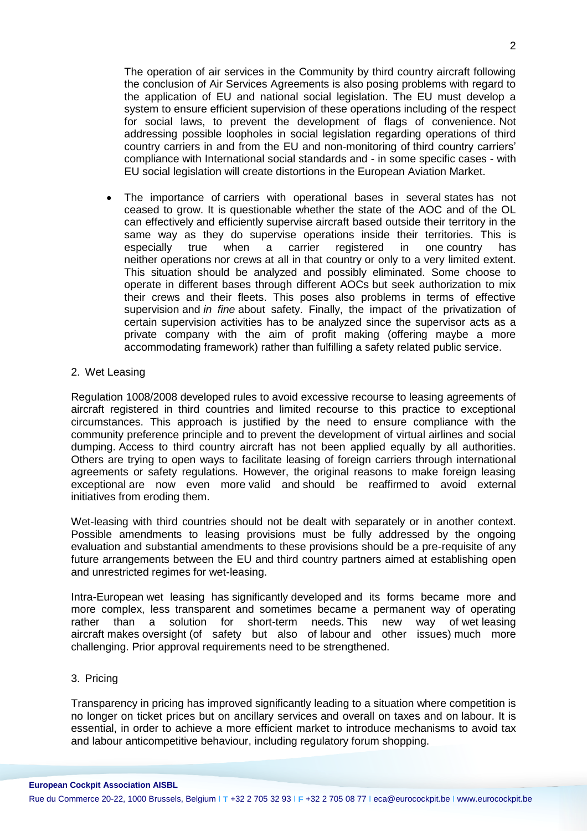The operation of air services in the Community by third country aircraft following the conclusion of Air Services Agreements is also posing problems with regard to the application of EU and national social legislation. The EU must develop a system to ensure efficient supervision of these operations including of the respect for social laws, to prevent the development of flags of convenience. Not addressing possible loopholes in social legislation regarding operations of third country carriers in and from the EU and non-monitoring of third country carriers' compliance with International social standards and - in some specific cases - with EU social legislation will create distortions in the European Aviation Market.

- The importance of carriers with operational bases in several states has not ceased to grow. It is questionable whether the state of the AOC and of the OL can effectively and efficiently supervise aircraft based outside their territory in the same way as they do supervise operations inside their territories. This is especially true when a carrier registered in one country has especially true when a carrier registered in one country has neither operations nor crews at all in that country or only to a very limited extent. This situation should be analyzed and possibly eliminated. Some choose to operate in different bases through different AOCs but seek authorization to mix their crews and their fleets. This poses also problems in terms of effective supervision and *in fine* about safety. Finally, the impact of the privatization of certain supervision activities has to be analyzed since the supervisor acts as a private company with the aim of profit making (offering maybe a more accommodating framework) rather than fulfilling a safety related public service.
- 2. Wet Leasing

Regulation 1008/2008 developed rules to avoid excessive recourse to leasing agreements of aircraft registered in third countries and limited recourse to this practice to exceptional circumstances. This approach is justified by the need to ensure compliance with the community preference principle and to prevent the development of virtual airlines and social dumping. Access to third country aircraft has not been applied equally by all authorities. Others are trying to open ways to facilitate leasing of foreign carriers through international agreements or safety regulations. However, the original reasons to make foreign leasing exceptional are now even more valid and should be reaffirmed to avoid external initiatives from eroding them.

Wet-leasing with third countries should not be dealt with separately or in another context. Possible amendments to leasing provisions must be fully addressed by the ongoing evaluation and substantial amendments to these provisions should be a pre-requisite of any future arrangements between the EU and third country partners aimed at establishing open and unrestricted regimes for wet-leasing.

Intra-European wet leasing has significantly developed and its forms became more and more complex, less transparent and sometimes became a permanent way of operating rather than a solution for short-term needs. This new way of wet leasing aircraft makes oversight (of safety but also of labour and other issues) much more challenging. Prior approval requirements need to be strengthened.

### 3. Pricing

Transparency in pricing has improved significantly leading to a situation where competition is no longer on ticket prices but on ancillary services and overall on taxes and on labour. It is essential, in order to achieve a more efficient market to introduce mechanisms to avoid tax and labour anticompetitive behaviour, including regulatory forum shopping.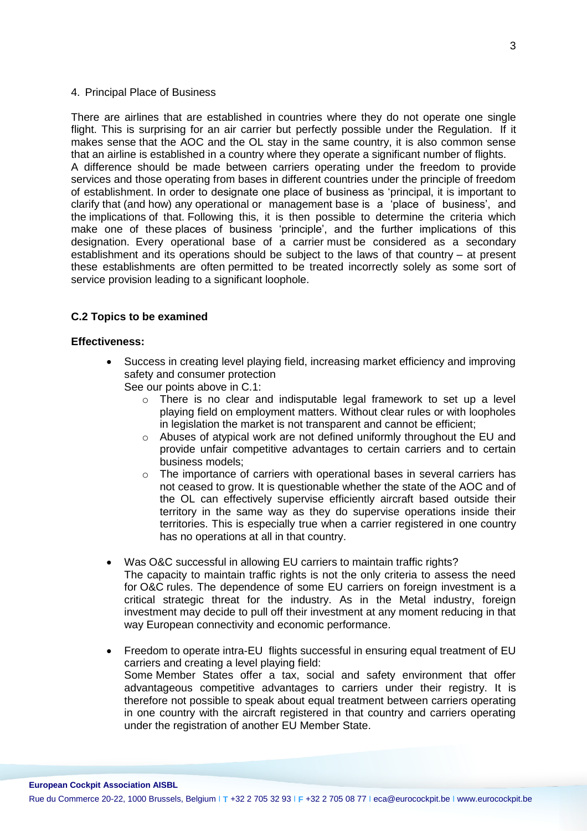#### 4. Principal Place of Business

There are airlines that are established in countries where they do not operate one single flight. This is surprising for an air carrier but perfectly possible under the Regulation. If it makes sense that the AOC and the OL stay in the same country, it is also common sense that an airline is established in a country where they operate a significant number of flights. A difference should be made between carriers operating under the freedom to provide services and those operating from bases in different countries under the principle of freedom of establishment. In order to designate one place of business as 'principal, it is important to clarify that (and how) any operational or management base is a 'place of business', and the implications of that. Following this, it is then possible to determine the criteria which make one of these places of business 'principle', and the further implications of this designation. Every operational base of a carrier must be considered as a secondary establishment and its operations should be subject to the laws of that country – at present these establishments are often permitted to be treated incorrectly solely as some sort of service provision leading to a significant loophole.

## **C.2 Topics to be examined**

#### **Effectiveness:**

• Success in creating level playing field, increasing market efficiency and improving safety and consumer protection

See our points above in C.1:

- $\circ$  There is no clear and indisputable legal framework to set up a level playing field on employment matters. Without clear rules or with loopholes in legislation the market is not transparent and cannot be efficient;
- o Abuses of atypical work are not defined uniformly throughout the EU and provide unfair competitive advantages to certain carriers and to certain business models;
- $\circ$  The importance of carriers with operational bases in several carriers has not ceased to grow. It is questionable whether the state of the AOC and of the OL can effectively supervise efficiently aircraft based outside their territory in the same way as they do supervise operations inside their territories. This is especially true when a carrier registered in one country has no operations at all in that country.
- Was O&C successful in allowing EU carriers to maintain traffic rights? The capacity to maintain traffic rights is not the only criteria to assess the need for O&C rules. The dependence of some EU carriers on foreign investment is a critical strategic threat for the industry. As in the Metal industry, foreign investment may decide to pull off their investment at any moment reducing in that way European connectivity and economic performance.
- Freedom to operate intra-EU flights successful in ensuring equal treatment of EU carriers and creating a level playing field: Some Member States offer a tax, social and safety environment that offer advantageous competitive advantages to carriers under their registry. It is therefore not possible to speak about equal treatment between carriers operating in one country with the aircraft registered in that country and carriers operating under the registration of another EU Member State.